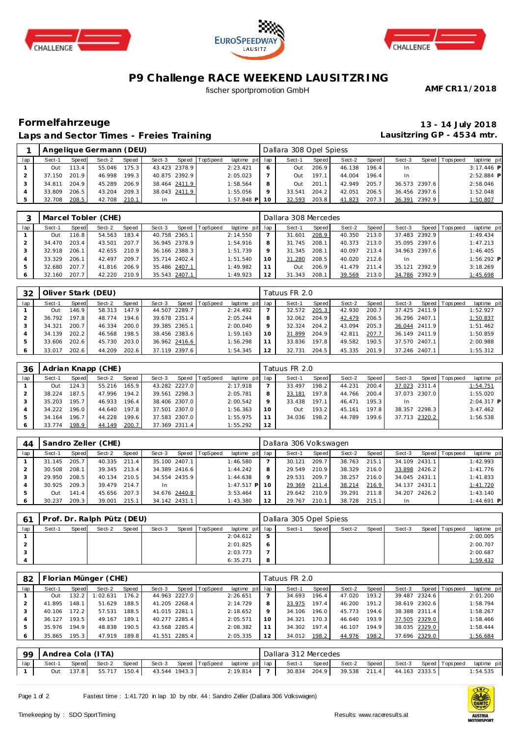





## **P9 Challenge RACE WEEKEND LAUSITZRING**

fischer sportpromotion GmbH

**AMF CR11/2018**

#### **Formelfahrzeuge 13 - 14 July 2018 Laps and Sector Times - Freies Training**

**Lausitzring GP - 4534 mtr.**

|     |        |       | Angelique Germann (DEU) |       |               |                |                 |   | Dallara 308 Opel Spiess |       |        |       |           |               |             |              |
|-----|--------|-------|-------------------------|-------|---------------|----------------|-----------------|---|-------------------------|-------|--------|-------|-----------|---------------|-------------|--------------|
| lap | Sect-1 | Speed | Sect-2                  | Speed | Sect-3        | Speed TopSpeed | laptime pit lap |   | Sect-1                  | Speed | Sect-2 | Speed | Sect-3    | Speed I       | T ops pee d | laptime pit  |
|     | Out    | 113.4 | 55.046                  | 175.3 | 43.423 2378.9 |                | 2:23.421        | 6 | Out                     | 206.9 | 46.138 | 196.4 | In.       |               |             | $3:17.446$ P |
|     | 37.150 | 201.9 | 46.998                  | 199.3 | 40.875 2392.9 |                | 2:05.023        |   | Out                     | 197.1 | 44.004 | 196.4 | <b>In</b> |               |             | $2:52.884$ P |
|     | 34.811 | 204.9 | 45.289                  | 206.9 | 38.464 2411.9 |                | 1:58.564        | 8 | Out                     | 201.1 | 42.949 | 205.7 |           | 36.573 2397.6 |             | 2:58.046     |
|     | 33.809 | 206.5 | 43.204                  | 209.3 | 38.043 2411.9 |                | 1:55.056        | Q | 33.541                  | 204.2 | 42.051 | 206.5 |           | 36.456 2397.6 |             | 1:52.048     |
|     | 32.708 | 208.5 | 42.708                  | 210.1 | In            |                | $1:57.848$ P 10 |   | 32.593                  | 203.8 | 41.823 | 207.3 |           | 36.391 2392.9 |             | 1:50.807     |

|     |        | Marcel Tobler (CHE) |        |       |               |  |                |                 |     |        | Dallara 308 Mercedes |        |       |        |               |                 |              |
|-----|--------|---------------------|--------|-------|---------------|--|----------------|-----------------|-----|--------|----------------------|--------|-------|--------|---------------|-----------------|--------------|
| lap | Sect-1 | Speed               | Sect-2 | Speed | Sect-3        |  | Speed TopSpeed | laptime pit lap |     | Sect-1 | Speed I              | Sect-2 | Speed | Sect-3 |               | Speed Tops peed | laptime pit  |
|     | Out    | 16.8                | 54.563 | 183.4 | 40.758 2365.1 |  |                | 2:14.550        |     | 31.601 | 208.9                | 40.350 | 213.0 |        | 37.483 2392.9 |                 | 1:49.434     |
|     | 34.470 | 203.4               | 43.501 | 207.7 | 36.945 2378.9 |  |                | 1:54.916        |     | 31.745 | 208.1                | 40.373 | 213.0 |        | 35.095 2397.6 |                 | 1:47.213     |
|     | 32.918 | 206.1               | 42.655 | 210.9 | 36.166 2388.3 |  |                | 1:51.739        |     | 31.345 | 208.1                | 40.097 | 213.4 |        | 34.963 2397.6 |                 | 1:46.405     |
|     | 33.329 | 206.1               | 42.497 | 209.7 | 35.714 2402.4 |  |                | 1:51.540        | 1 O | 31.280 | 208.5                | 40.020 | 212.6 | In     |               |                 | $1:56.292$ P |
|     | 32.680 | 207.7               | 41.816 | 206.9 | 35.486 2407.1 |  |                | 1:49.982        |     | Out    | 206.9                | 41.479 | 211.4 | 35.121 | 2392.9        |                 | 3:18.269     |
|     | 32.160 | 207.7               | 42.220 | 210.9 | 35.543 2407.1 |  |                | 1:49.923        |     | 31.343 | 208.1                | 39.569 | 213.0 |        | 34.786 2392.9 |                 | 1:45.698     |

| 32  |        | Oliver Stark (DEU) |        |       |               |  |                |                 |             | Tatuus FR 2.0 |       |        |       |               |               |                |             |
|-----|--------|--------------------|--------|-------|---------------|--|----------------|-----------------|-------------|---------------|-------|--------|-------|---------------|---------------|----------------|-------------|
| lap | Sect-1 | Speed              | Sect-2 | Speed | Sect-3        |  | Speed TopSpeed | laptime pit lap |             | Sect-1        | Speed | Sect-2 | Speed | Sect-3        |               | Speed Topspeed | laptime pit |
|     | Out    | 146.9              | 58.313 | 147.9 | 44.507 2289.7 |  |                | 2:24.492        |             | 32.572        | 205.3 | 42.930 | 200.7 |               | 37.425 2411.9 |                | 1:52.927    |
|     | 36.792 | 197.8              | 48.774 | 194.6 | 39.678 2351.4 |  |                | 2:05.244        | 8           | 32.062        | 204.9 | 42.479 | 206.5 | 36.296 2407.1 |               |                | 1:50.837    |
|     | 34.321 | 200.7              | 46.334 | 200.0 | 39.385 2365.1 |  |                | 2:00.040        | $\mathsf Q$ | 32.324        | 204.2 | 43.094 | 205.3 |               | 36.044 2411.9 |                | 1:51.462    |
|     | 34.139 | 202.2              | 46.568 | 198.5 | 38.456 2383.6 |  |                | 1:59.163        | 10          | 31.899        | 204.9 | 42.81  | 207.7 |               | 36.149 2411.9 |                | 1:50.859    |
|     | 33.606 | 202.6              | 45.730 | 203.0 | 36.962 2416.6 |  |                | 1:56.298        |             | 33.836        | 197.8 | 49.582 | 190.5 | 37.570 2407.1 |               |                | 2:00.988    |
|     | 33.017 | 202.6              | 44.209 | 202.6 | 37.119 2397.6 |  |                | 1:54.345        | 12          | 32.731        | 204.5 | 45.335 | 201.9 | 37.246 2407.1 |               |                | 1:55.312    |

| 36  |        |       | Adrian Knapp (CHE) |       |        |               |                 |                 |    | Tatuus FR 2.0 |                    |        |       |        |               |                 |              |
|-----|--------|-------|--------------------|-------|--------|---------------|-----------------|-----------------|----|---------------|--------------------|--------|-------|--------|---------------|-----------------|--------------|
| lap | Sect-1 | Speed | Sect-2             | Speed | Sect-3 | Speed         | <b>TopSpeed</b> | laptime pit lap |    | Sect-1        | Speed              | Sect-2 | Speed | Sect-3 |               | Speed Tops peed | laptime pit  |
|     | Out    | 124.3 | 55.216             | 165.9 |        | 43.282 2227.0 |                 | 2:17.918        |    | 33.497        | 198.21             | 44.231 | 200.4 |        | 37.023 2311.4 |                 | 1:54.751     |
|     | 38.224 | 187.5 | 47.996             | 194.2 |        | 39.561 2298.3 |                 | 2:05.781        |    | 33.181        | 197.8              | 44.766 | 200.4 |        | 37.073 2307.0 |                 | 1:55.020     |
|     | 35.203 | 195.7 | 46.933             | 196.4 |        | 38.406 2307.0 |                 | 2:00.542        |    | 33.438        | 197.1 <sub>1</sub> | 46.471 | 195.3 | In.    |               |                 | $2:04.317$ P |
|     | 34.222 | 196.0 | 44.640             | 197.8 |        | 37.501 2307.0 |                 | 1:56.363        | 10 | Out           | 193.2              | 45.161 | 197.8 |        | 38.357 2298.3 |                 | 3:47.462     |
|     | 34.164 | 196.7 | 44.228             | 199.6 |        | 37.583 2307.0 |                 | 1:55.975        |    | 34.036        | 198.2              | 44.789 | 199.6 |        | 37.713 2320.2 |                 | 1:56.538     |
|     | 33.774 | 198.9 | 44.149             | 200.7 |        | 37.369 2311.4 |                 | 1:55.292        | 12 |               |                    |        |       |        |               |                 |              |

| 44  |        |       | Sandro Zeller (CHE) |       |               |       |                 |                 |    | Dallara 306 Volkswagen |         |        |       |           |               |                |             |
|-----|--------|-------|---------------------|-------|---------------|-------|-----------------|-----------------|----|------------------------|---------|--------|-------|-----------|---------------|----------------|-------------|
| lap | Sect-1 | Speed | Sect-2              | Speed | Sect-3        | Speed | <b>TopSpeed</b> | laptime pit lap |    | Sect-1                 | Speed I | Sect-2 | Speed | Sect-3    |               | Speed Topspeed | laptime pit |
|     | 31.145 | 205.7 | 40.335              | 211.4 | 35.100 2407.1 |       |                 | 1:46.580        |    | 30.121                 | 209.7   | 38.763 | 215.1 |           | 34.109 2431.1 |                | 1:42.993    |
|     | 30.508 | 208.1 | 39.345              | 213.4 | 34.389 2416.6 |       |                 | 1:44.242        |    | 29.549                 | 210.9   | 38.329 | 216.0 |           | 33.898 2426.2 |                | 1:41.776    |
|     | 29.950 | 208.5 | 40.134              | 210.5 | 34.554 2435.9 |       |                 | 1:44.638        |    | 29.531                 | 209.7   | 38.257 | 216.0 |           | 34.045 2431.1 |                | 1:41.833    |
|     | 30.925 | 209.3 | 39.479              | 214.7 | -In           |       |                 | $1:47.517$ P    |    | 29.369                 | 211.4   | 38.214 | 216.9 |           | 34.137 2431.1 |                | 1:41.720    |
|     | Out    | 141.4 | 45.656              | 207.3 | 34.676 2440.8 |       |                 | 3:53.464        |    | 29.642                 | 210.9   | 39.291 | 211.8 |           | 34.207 2426.2 |                | 1:43.140    |
|     | 30.237 | 209.3 | 39.001              | 215.1 | 34.142 2431.1 |       |                 | 1:43.380        | 12 | 29.767                 | 210.1   | 38.728 | 215.1 | <b>In</b> |               |                | 1:44.691 P  |

|     | Prof. Dr. Ralph Pütz (DEU) |       |        |       |        |  |                |                 |   | Dallara 305 Opel Spiess |       |        |       |        |                 |             |
|-----|----------------------------|-------|--------|-------|--------|--|----------------|-----------------|---|-------------------------|-------|--------|-------|--------|-----------------|-------------|
| lap | Sect-1                     | Speed | Sect-2 | Speed | Sect-3 |  | Speed TopSpeed | laptime pit lap |   | Sect-1                  | Speed | Sect-2 | Speed | Sect-3 | Speed Tops peed | laptime pit |
|     |                            |       |        |       |        |  |                | 2:04.612        | 5 |                         |       |        |       |        |                 | 2:00.005    |
|     |                            |       |        |       |        |  |                | 2:01.825        | O |                         |       |        |       |        |                 | 2:00.707    |
|     |                            |       |        |       |        |  |                | 2:03.773        |   |                         |       |        |       |        |                 | 2:00.687    |
|     |                            |       |        |       |        |  |                | 6:35.271        | 8 |                         |       |        |       |        |                 | 1:59.432    |

| 82  |        |       | Florian Münger (CHE) |       |               |               |                |                 |    | Tatuus FR 2.0 |       |        |         |        |               |                 |             |
|-----|--------|-------|----------------------|-------|---------------|---------------|----------------|-----------------|----|---------------|-------|--------|---------|--------|---------------|-----------------|-------------|
| lap | Sect-1 | Speed | Sect-2               | Speed | Sect-3        |               | Speed TopSpeed | laptime pit lap |    | Sect-1        | Speed | Sect-2 | Speed I | Sect-3 |               | Speed Tops peed | laptime pit |
|     | Out    | 132.2 | 1:02.631             | 176.2 |               | 44.963 2227.0 |                | 2:26.651        |    | 34.693        | 196.4 | 47.020 | 193.2   |        | 39.487 2324.6 |                 | 2:01.200    |
|     | 41.895 | 148.1 | 51.629               | 188.5 | 41.205 2268.4 |               |                | 2:14.729        |    | 33.975        | 197.4 | 46.200 | 191.2   |        | 38.619 2302.6 |                 | 1:58.794    |
|     | 40.106 | 172.2 | 57.531               | 188.5 | 41.015 2281.1 |               |                | 2:18.652        |    | 34.106        | 196.0 | 45.773 | 194.6   |        | 38.388 2311.4 |                 | 1:58.267    |
|     | 36.127 | 193.5 | 49.167               | 189.1 |               | 40.277 2285.4 |                | 2:05.571        | 10 | 34.321        | 170.3 | 46.640 | 193.9   |        | 37.505 2329.0 |                 | 1:58.466    |
| 5   | 35.976 | 194.9 | 48.838               | 190.5 | 43.568 2285.4 |               |                | 2:08.382        |    | 34.302        | 197.4 | 46.107 | 194.9   |        | 38.035 2329.0 |                 | 1:58.444    |
| 6   | 35.865 | 195.3 | 47.919               | 189.8 | 41.551 2285.4 |               |                | 2:05.335        |    | 34.012        | 198.2 | 44.976 | 198.2   |        | 37.696 2329.0 |                 | 1:56.684    |

| 99  | Andrea Cola (ITA) |                                                                     |                        |  |               |  |  |              |  | Dallara 312 Mercedes |       |                                         |                       |  |             |
|-----|-------------------|---------------------------------------------------------------------|------------------------|--|---------------|--|--|--------------|--|----------------------|-------|-----------------------------------------|-----------------------|--|-------------|
| lap | Sect-1            | Sect-3 Speed TopSpeed laptime pit lap<br>Speed  <br>Speed<br>Sect-2 |                        |  |               |  |  |              |  | Sect-1               | Speed | Sect-2 Speed                            | Sect-3 Speed Topspeed |  | laptime pit |
|     |                   |                                                                     | Out 137.8 55.717 150.4 |  | 43.544 1943.3 |  |  | $2:19.814$ 7 |  |                      |       | 30.834 204.9 39.538 211.4 44.163 2333.5 |                       |  | : 54.535    |